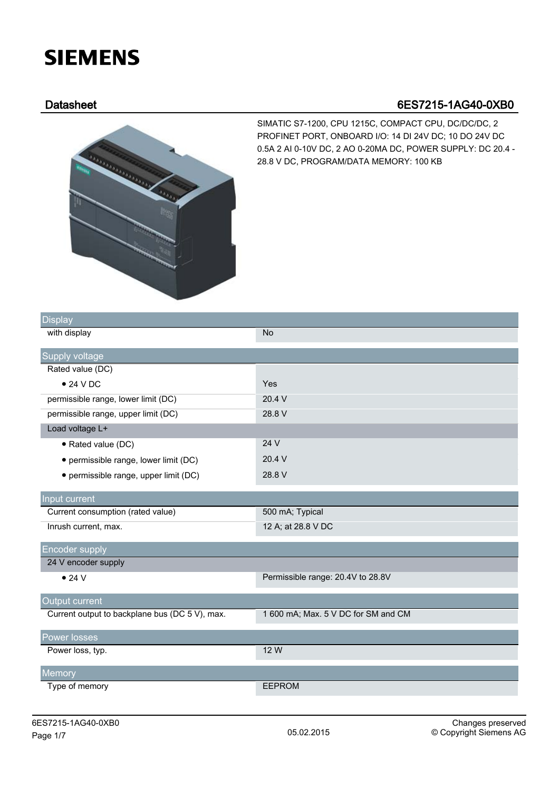## **SIEMENS**

## Datasheet 6ES7215-1AG40-0XB0



SIMATIC S7-1200, CPU 1215C, COMPACT CPU, DC/DC/DC, 2 PROFINET PORT, ONBOARD I/O: 14 DI 24V DC; 10 DO 24V DC 0.5A 2 AI 0-10V DC, 2 AO 0-20MA DC, POWER SUPPLY: DC 20.4 - 28.8 V DC, PROGRAM/DATA MEMORY: 100 KB

| Display                                        |                                     |
|------------------------------------------------|-------------------------------------|
| with display                                   | <b>No</b>                           |
| Supply voltage                                 |                                     |
| Rated value (DC)                               |                                     |
| • 24 VDC                                       | Yes                                 |
| permissible range, lower limit (DC)            | 20.4 V                              |
| permissible range, upper limit (DC)            | 28.8 V                              |
| Load voltage L+                                |                                     |
| • Rated value (DC)                             | 24 V                                |
| • permissible range, lower limit (DC)          | 20.4 V                              |
| • permissible range, upper limit (DC)          | 28.8 V                              |
| Input current                                  |                                     |
| Current consumption (rated value)              | 500 mA; Typical                     |
| Inrush current, max.                           | 12 A; at 28.8 V DC                  |
| <b>Encoder supply</b>                          |                                     |
| 24 V encoder supply                            |                                     |
| • 24 V                                         | Permissible range: 20.4V to 28.8V   |
| Output current                                 |                                     |
| Current output to backplane bus (DC 5 V), max. | 1 600 mA; Max. 5 V DC for SM and CM |
| Power losses                                   |                                     |
| Power loss, typ.                               | 12 W                                |
| Memory                                         |                                     |
| Type of memory                                 | <b>EEPROM</b>                       |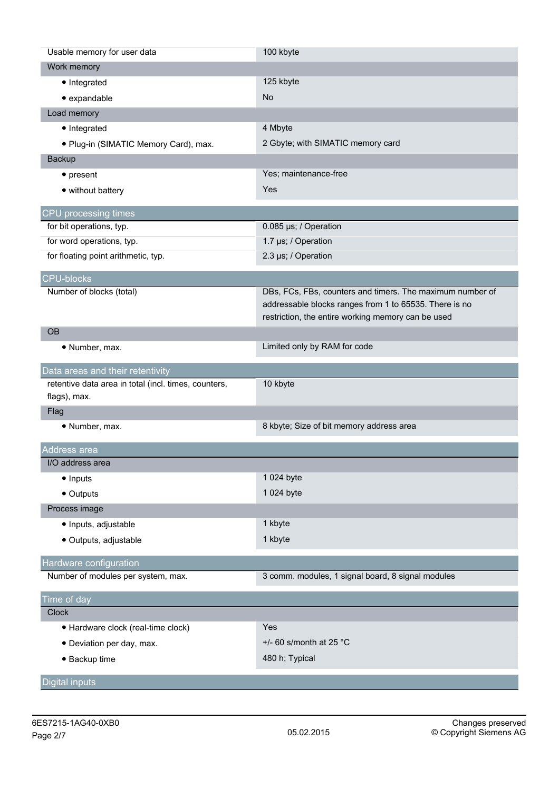| Usable memory for user data                          | 100 kbyte                                                 |
|------------------------------------------------------|-----------------------------------------------------------|
| Work memory                                          |                                                           |
| • Integrated                                         | 125 kbyte                                                 |
| • expandable                                         | No                                                        |
| Load memory                                          |                                                           |
| • Integrated                                         | 4 Mbyte                                                   |
| · Plug-in (SIMATIC Memory Card), max.                | 2 Gbyte; with SIMATIC memory card                         |
| <b>Backup</b>                                        |                                                           |
| $\bullet$ present                                    | Yes; maintenance-free                                     |
| • without battery                                    | Yes                                                       |
|                                                      |                                                           |
| CPU processing times                                 |                                                           |
| for bit operations, typ.                             | 0.085 µs; / Operation                                     |
| for word operations, typ.                            | 1.7 µs; / Operation                                       |
| for floating point arithmetic, typ.                  | 2.3 µs; / Operation                                       |
| <b>CPU-blocks</b>                                    |                                                           |
| Number of blocks (total)                             | DBs, FCs, FBs, counters and timers. The maximum number of |
|                                                      | addressable blocks ranges from 1 to 65535. There is no    |
|                                                      | restriction, the entire working memory can be used        |
| <b>OB</b>                                            |                                                           |
| · Number, max.                                       | Limited only by RAM for code                              |
| Data areas and their retentivity                     |                                                           |
| retentive data area in total (incl. times, counters, | 10 kbyte                                                  |
| flags), max.                                         |                                                           |
| Flag                                                 |                                                           |
| · Number, max.                                       | 8 kbyte; Size of bit memory address area                  |
|                                                      |                                                           |
|                                                      |                                                           |
| Address area<br>I/O address area                     |                                                           |
|                                                      | 1 024 byte                                                |
| • Inputs                                             |                                                           |
| • Outputs                                            | 1 024 byte                                                |
| Process image                                        |                                                           |
| · Inputs, adjustable                                 | 1 kbyte                                                   |
| · Outputs, adjustable                                | 1 kbyte                                                   |
| Hardware configuration                               |                                                           |
| Number of modules per system, max.                   | 3 comm. modules, 1 signal board, 8 signal modules         |
| Time of day                                          |                                                           |
| <b>Clock</b>                                         |                                                           |
| · Hardware clock (real-time clock)                   | Yes                                                       |
| · Deviation per day, max.                            | +/- 60 s/month at 25 $^{\circ}$ C                         |
| • Backup time                                        | 480 h; Typical                                            |
| <b>Digital inputs</b>                                |                                                           |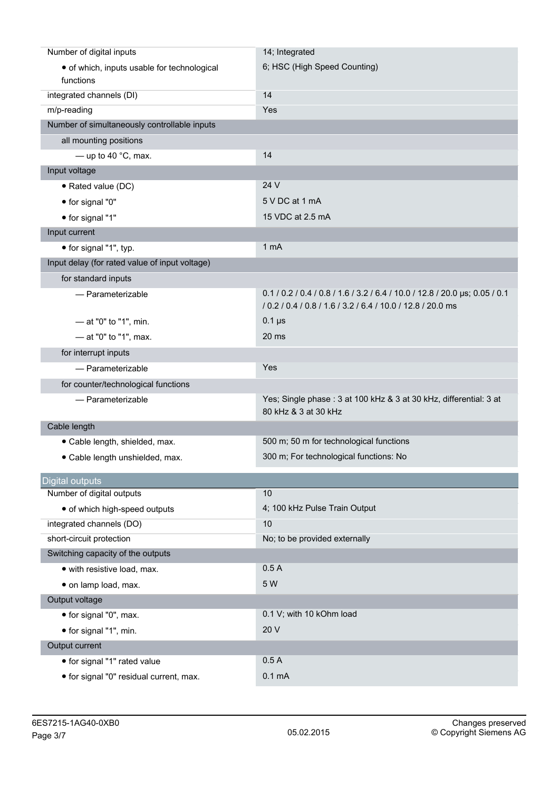| Number of digital inputs                                 | 14; Integrated                                                                                                                             |
|----------------------------------------------------------|--------------------------------------------------------------------------------------------------------------------------------------------|
| • of which, inputs usable for technological<br>functions | 6; HSC (High Speed Counting)                                                                                                               |
| integrated channels (DI)                                 | 14                                                                                                                                         |
| m/p-reading                                              | Yes                                                                                                                                        |
| Number of simultaneously controllable inputs             |                                                                                                                                            |
| all mounting positions                                   |                                                                                                                                            |
| - up to 40 $^{\circ}$ C, max.                            | 14                                                                                                                                         |
| Input voltage                                            |                                                                                                                                            |
| • Rated value (DC)                                       | 24 V                                                                                                                                       |
| • for signal "0"                                         | 5 V DC at 1 mA                                                                                                                             |
| • for signal "1"                                         | 15 VDC at 2.5 mA                                                                                                                           |
| Input current                                            |                                                                                                                                            |
| • for signal "1", typ.                                   | 1 <sub>mA</sub>                                                                                                                            |
| Input delay (for rated value of input voltage)           |                                                                                                                                            |
| for standard inputs                                      |                                                                                                                                            |
| - Parameterizable                                        | 0.1 / 0.2 / 0.4 / 0.8 / 1.6 / 3.2 / 6.4 / 10.0 / 12.8 / 20.0 µs; 0.05 / 0.1<br>/ 0.2 / 0.4 / 0.8 / 1.6 / 3.2 / 6.4 / 10.0 / 12.8 / 20.0 ms |
| - at "0" to "1", min.                                    | $0.1 \,\mu s$                                                                                                                              |
| $-$ at "0" to "1", max.                                  | 20 <sub>ms</sub>                                                                                                                           |
| for interrupt inputs                                     |                                                                                                                                            |
| - Parameterizable                                        | Yes                                                                                                                                        |
| for counter/technological functions                      |                                                                                                                                            |
| - Parameterizable                                        | Yes; Single phase: 3 at 100 kHz & 3 at 30 kHz, differential: 3 at<br>80 kHz & 3 at 30 kHz                                                  |
| Cable length                                             |                                                                                                                                            |
| · Cable length, shielded, max.                           | 500 m; 50 m for technological functions                                                                                                    |
| · Cable length unshielded, max.                          | 300 m; For technological functions: No                                                                                                     |
| <b>Digital outputs</b>                                   |                                                                                                                                            |
| Number of digital outputs                                | 10                                                                                                                                         |
| • of which high-speed outputs                            | 4; 100 kHz Pulse Train Output                                                                                                              |
| integrated channels (DO)                                 | 10                                                                                                                                         |
| short-circuit protection                                 | No; to be provided externally                                                                                                              |
| Switching capacity of the outputs                        |                                                                                                                                            |
| · with resistive load, max.                              | 0.5A                                                                                                                                       |
| · on lamp load, max.                                     |                                                                                                                                            |
|                                                          | 5 W                                                                                                                                        |
| Output voltage                                           |                                                                                                                                            |
| • for signal "0", max.                                   | 0.1 V; with 10 kOhm load                                                                                                                   |
| • for signal "1", min.                                   | 20 V                                                                                                                                       |
| Output current                                           |                                                                                                                                            |
| · for signal "1" rated value                             | 0.5A                                                                                                                                       |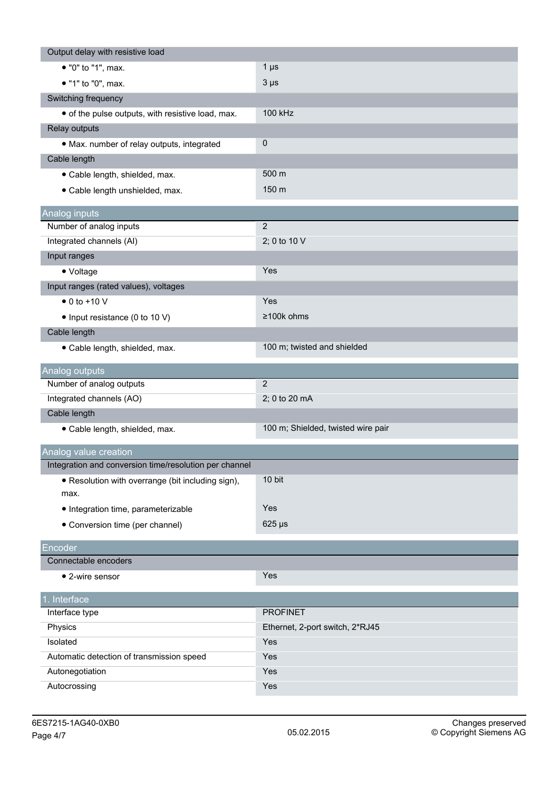| Output delay with resistive load                       |                                    |
|--------------------------------------------------------|------------------------------------|
| • "0" to "1", max.                                     | 1 $\mu$ s                          |
| • "1" to "0", max.                                     | $3 \mu s$                          |
| Switching frequency                                    |                                    |
| • of the pulse outputs, with resistive load, max.      | 100 kHz                            |
| Relay outputs                                          |                                    |
| · Max. number of relay outputs, integrated             | $\pmb{0}$                          |
| Cable length                                           |                                    |
| · Cable length, shielded, max.                         | 500 m                              |
| · Cable length unshielded, max.                        | 150 m                              |
|                                                        |                                    |
| Analog inputs                                          | $\overline{2}$                     |
| Number of analog inputs                                |                                    |
| Integrated channels (AI)                               | 2; 0 to 10 V                       |
| Input ranges                                           |                                    |
| • Voltage                                              | Yes                                |
| Input ranges (rated values), voltages                  |                                    |
| $\bullet$ 0 to +10 V                                   | Yes                                |
| • Input resistance (0 to 10 V)                         | ≥100k ohms                         |
| Cable length                                           |                                    |
| · Cable length, shielded, max.                         | 100 m; twisted and shielded        |
| Analog outputs                                         |                                    |
| Number of analog outputs                               | $\overline{2}$                     |
| Integrated channels (AO)                               | 2; 0 to 20 mA                      |
| Cable length                                           |                                    |
| · Cable length, shielded, max.                         | 100 m; Shielded, twisted wire pair |
| Analog value creation                                  |                                    |
| Integration and conversion time/resolution per channel |                                    |
| • Resolution with overrange (bit including sign),      | 10 bit                             |
| max.                                                   |                                    |
| · Integration time, parameterizable                    | Yes                                |
| • Conversion time (per channel)                        | $625 \,\mathrm{\mu s}$             |
| Encoder                                                |                                    |
| Connectable encoders                                   |                                    |
| • 2-wire sensor                                        | Yes                                |
| 1. Interface                                           |                                    |
| Interface type                                         | <b>PROFINET</b>                    |
| Physics                                                | Ethernet, 2-port switch, 2*RJ45    |
| Isolated                                               | Yes                                |
| Automatic detection of transmission speed              | Yes                                |
| Autonegotiation                                        | Yes                                |
| Autocrossing                                           | Yes                                |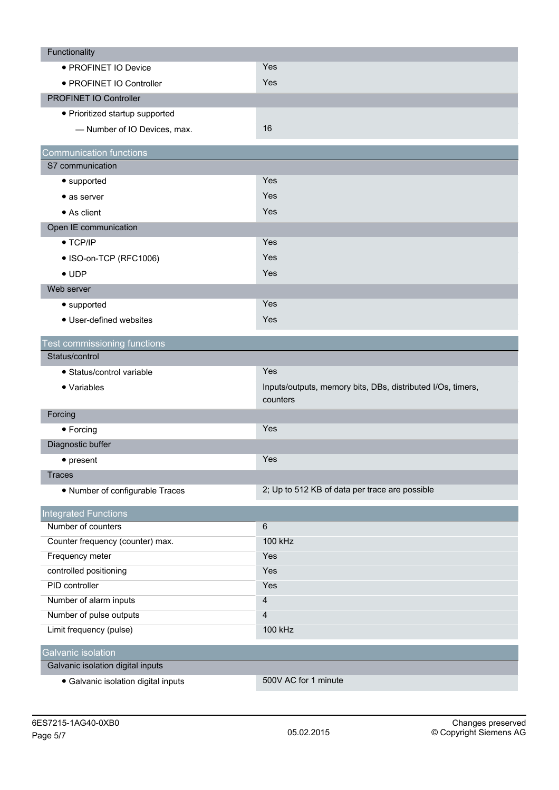| Functionality                       |                                                                         |
|-------------------------------------|-------------------------------------------------------------------------|
| · PROFINET IO Device                | Yes                                                                     |
| • PROFINET IO Controller            | Yes                                                                     |
| PROFINET IO Controller              |                                                                         |
| • Prioritized startup supported     |                                                                         |
| - Number of IO Devices, max.        | 16                                                                      |
| <b>Communication functions</b>      |                                                                         |
| S7 communication                    |                                                                         |
| • supported                         | Yes                                                                     |
| • as server                         | Yes                                                                     |
| • As client                         | Yes                                                                     |
| Open IE communication               |                                                                         |
| $\bullet$ TCP/IP                    | Yes                                                                     |
| • ISO-on-TCP (RFC1006)              | Yes                                                                     |
| $\bullet$ UDP                       | Yes                                                                     |
| Web server                          |                                                                         |
| • supported                         | Yes                                                                     |
| • User-defined websites             | Yes                                                                     |
|                                     |                                                                         |
| Test commissioning functions        |                                                                         |
| Status/control                      |                                                                         |
| · Status/control variable           | Yes                                                                     |
| • Variables                         | Inputs/outputs, memory bits, DBs, distributed I/Os, timers,<br>counters |
| Forcing                             |                                                                         |
| • Forcing                           | Yes                                                                     |
| Diagnostic buffer                   |                                                                         |
| $\bullet$ present                   | Yes                                                                     |
| <b>Traces</b>                       |                                                                         |
| • Number of configurable Traces     | 2; Up to 512 KB of data per trace are possible                          |
| <b>Integrated Functions</b>         |                                                                         |
| Number of counters                  | 6                                                                       |
| Counter frequency (counter) max.    | 100 kHz                                                                 |
| Frequency meter                     | Yes                                                                     |
| controlled positioning              | Yes                                                                     |
| PID controller                      | Yes                                                                     |
| Number of alarm inputs              | 4                                                                       |
| Number of pulse outputs             | $\overline{4}$                                                          |
| Limit frequency (pulse)             | 100 kHz                                                                 |
| <b>Galvanic isolation</b>           |                                                                         |
| Galvanic isolation digital inputs   |                                                                         |
| • Galvanic isolation digital inputs | 500V AC for 1 minute                                                    |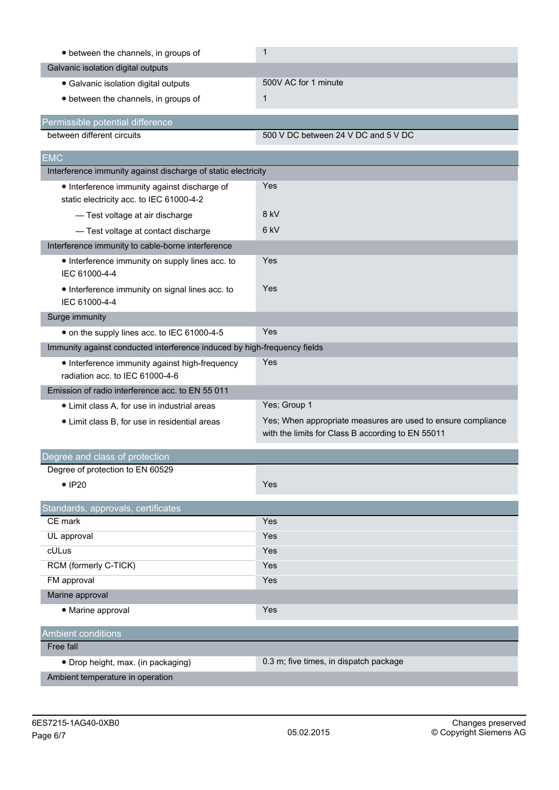| • between the channels, in groups of                                                     | $\mathbf{1}$                                                                                                      |
|------------------------------------------------------------------------------------------|-------------------------------------------------------------------------------------------------------------------|
| Galvanic isolation digital outputs                                                       |                                                                                                                   |
| · Galvanic isolation digital outputs                                                     | 500V AC for 1 minute                                                                                              |
| • between the channels, in groups of                                                     | $\mathbf{1}$                                                                                                      |
| Permissible potential difference                                                         |                                                                                                                   |
| between different circuits                                                               | 500 V DC between 24 V DC and 5 V DC                                                                               |
| <b>EMC</b>                                                                               |                                                                                                                   |
| Interference immunity against discharge of static electricity                            |                                                                                                                   |
| • Interference immunity against discharge of<br>static electricity acc. to IEC 61000-4-2 | <b>Yes</b>                                                                                                        |
| - Test voltage at air discharge                                                          | 8 kV                                                                                                              |
| - Test voltage at contact discharge                                                      | 6 <sub>kV</sub>                                                                                                   |
| Interference immunity to cable-borne interference                                        |                                                                                                                   |
| • Interference immunity on supply lines acc. to<br>IEC 61000-4-4                         | Yes                                                                                                               |
| • Interference immunity on signal lines acc. to<br>IEC 61000-4-4                         | Yes                                                                                                               |
| Surge immunity                                                                           |                                                                                                                   |
| • on the supply lines acc. to IEC 61000-4-5                                              | Yes                                                                                                               |
| Immunity against conducted interference induced by high-frequency fields                 |                                                                                                                   |
| • Interference immunity against high-frequency<br>radiation acc. to IEC 61000-4-6        | Yes                                                                                                               |
| Emission of radio interference acc. to EN 55 011                                         |                                                                                                                   |
| • Limit class A, for use in industrial areas                                             | Yes; Group 1                                                                                                      |
| • Limit class B, for use in residential areas                                            | Yes; When appropriate measures are used to ensure compliance<br>with the limits for Class B according to EN 55011 |
| Degree and class of protection                                                           |                                                                                                                   |
| Degree of protection to EN 60529                                                         |                                                                                                                   |
| $\bullet$ IP20                                                                           | Yes                                                                                                               |
| Standards, approvals, certificates                                                       |                                                                                                                   |
| CE mark                                                                                  | Yes                                                                                                               |
| UL approval                                                                              | Yes                                                                                                               |
| cULus                                                                                    | Yes                                                                                                               |
| RCM (formerly C-TICK)                                                                    | Yes                                                                                                               |
| FM approval                                                                              | Yes                                                                                                               |
| Marine approval                                                                          |                                                                                                                   |
| • Marine approval                                                                        | Yes                                                                                                               |
| <b>Ambient conditions</b>                                                                |                                                                                                                   |
| Free fall                                                                                |                                                                                                                   |
| • Drop height, max. (in packaging)                                                       | 0.3 m; five times, in dispatch package                                                                            |
| Ambient temperature in operation                                                         |                                                                                                                   |